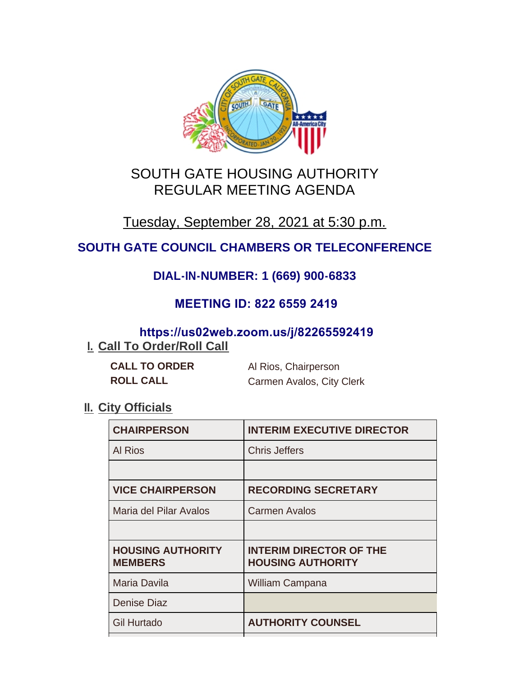

# SOUTH GATE HOUSING AUTHORITY REGULAR MEETING AGENDA

# Tuesday, September 28, 2021 at 5:30 p.m.

## **SOUTH GATE COUNCIL CHAMBERS OR TELECONFERENCE**

## **DIAL-IN-NUMBER: 1 (669) 900-6833**

### **MEETING ID: 822 6559 2419**

## **https://us02web.zoom.us/j/82265592419**

## **I. Call To Order/Roll Call**

| <b>CALL TO ORDER</b> | Al Rios, Chairperson      |
|----------------------|---------------------------|
| <b>ROLL CALL</b>     | Carmen Avalos, City Clerk |

### **II.** City Officials

| <b>CHAIRPERSON</b>                         | <b>INTERIM EXECUTIVE DIRECTOR</b>                          |
|--------------------------------------------|------------------------------------------------------------|
| <b>Al Rios</b>                             | <b>Chris Jeffers</b>                                       |
|                                            |                                                            |
| <b>VICE CHAIRPERSON</b>                    | <b>RECORDING SECRETARY</b>                                 |
| Maria del Pilar Avalos                     | <b>Carmen Avalos</b>                                       |
|                                            |                                                            |
| <b>HOUSING AUTHORITY</b><br><b>MEMBERS</b> | <b>INTERIM DIRECTOR OF THE</b><br><b>HOUSING AUTHORITY</b> |
| <b>Maria Davila</b>                        | <b>William Campana</b>                                     |
| <b>Denise Diaz</b>                         |                                                            |
| <b>Gil Hurtado</b>                         | <b>AUTHORITY COUNSEL</b>                                   |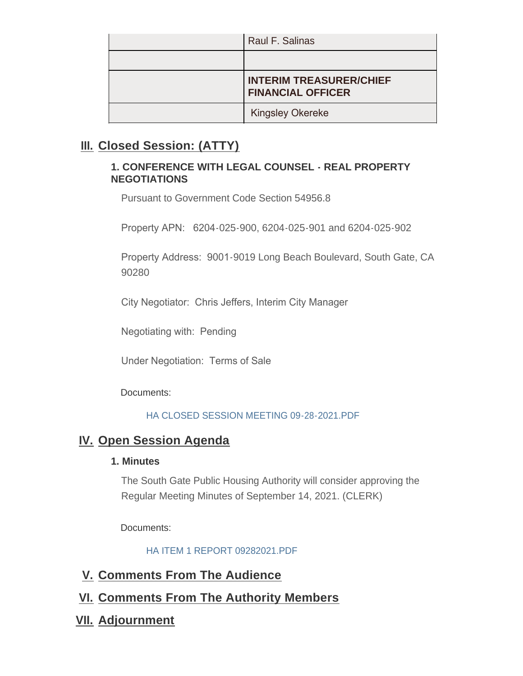| Raul F. Salinas                                            |
|------------------------------------------------------------|
|                                                            |
| <b>INTERIM TREASURER/CHIEF</b><br><b>FINANCIAL OFFICER</b> |
| <b>Kingsley Okereke</b>                                    |

### **Closed Session: (ATTY) III.**

#### **1. CONFERENCE WITH LEGAL COUNSEL - REAL PROPERTY NEGOTIATIONS**

Pursuant to Government Code Section 54956.8

Property APN: 6204-025-900, 6204-025-901 and 6204-025-902

Property Address: 9001-9019 Long Beach Boulevard, South Gate, CA 90280

City Negotiator: Chris Jeffers, Interim City Manager

Negotiating with: Pending

Under Negotiation: Terms of Sale

Documents:

#### HA CLOSED SESSION MEETING 09-28-2021.PDF

### **IV.** Open Session Agenda

#### **1. Minutes**

The South Gate Public Housing Authority will consider approving the Regular Meeting Minutes of September 14, 2021. (CLERK)

Documents:

HA ITEM 1 REPORT 09282021.PDF

- **Comments From The Audience V.**
- **Comments From The Authority Members VI.**
- **Adjournment VII.**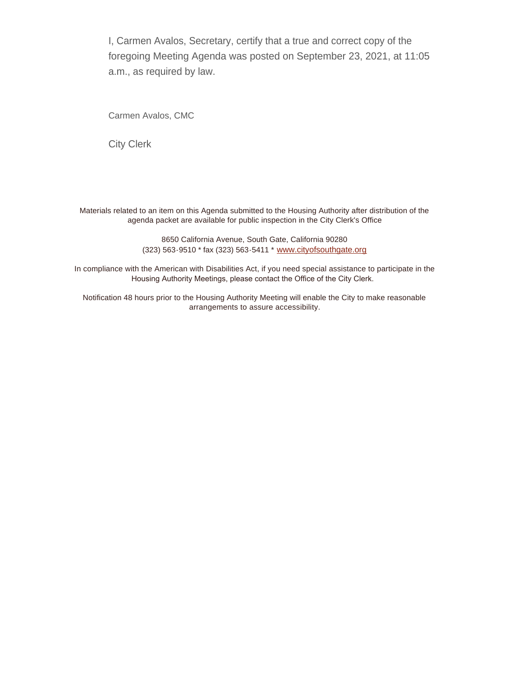I, Carmen Avalos, Secretary, certify that a true and correct copy of the foregoing Meeting Agenda was posted on September 23, 2021, at 11:05 a.m., as required by law.

Carmen Avalos, CMC

City Clerk

Materials related to an item on this Agenda submitted to the Housing Authority after distribution of the agenda packet are available for public inspection in the City Clerk's Office

> 8650 California Avenue, South Gate, California 90280 (323) 563-9510 \* fax (323) 563-5411 \* [www.cityofsouthgate.org](http://www.cityofsouthgate.org/)

In compliance with the American with Disabilities Act, if you need special assistance to participate in the Housing Authority Meetings, please contact the Office of the City Clerk.

Notification 48 hours prior to the Housing Authority Meeting will enable the City to make reasonable arrangements to assure accessibility.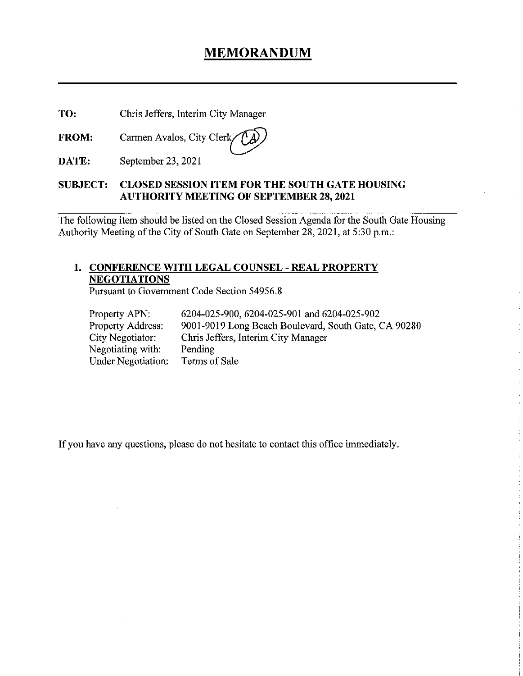## MEMORANDUM

TO: Chris Jeffers, Interim City Manager

FROM: Carmen Avalos, City Clerk,

DATE: September 23, 2021

#### SUBJECT: CLOSED SESSION ITEM FOR THE SOUTH GATE HOUSING AUTHORITY MEETING OF SEPTEMBER 28, 2021

The following item should be listed on the Closed Session Agenda for the South Gate Housing Authority Meeting of the City of South Gate on September 28, 2021, at 5:30 p.m.:

### 1. CONFERENCE WITH LEGAL COUNSEL - REAL PROPERTY NEGOTIATIONS

Pursuant to Government Code Section 54956.8

| Property APN:             | 6204-025-900, 6204-025-901 and 6204-025-902          |
|---------------------------|------------------------------------------------------|
| <b>Property Address:</b>  | 9001-9019 Long Beach Boulevard, South Gate, CA 90280 |
| City Negotiator:          | Chris Jeffers, Interim City Manager                  |
| Negotiating with:         | Pending                                              |
| <b>Under Negotiation:</b> | Terms of Sale                                        |

If you have any questions, please do not hesitate to contact this office immediately.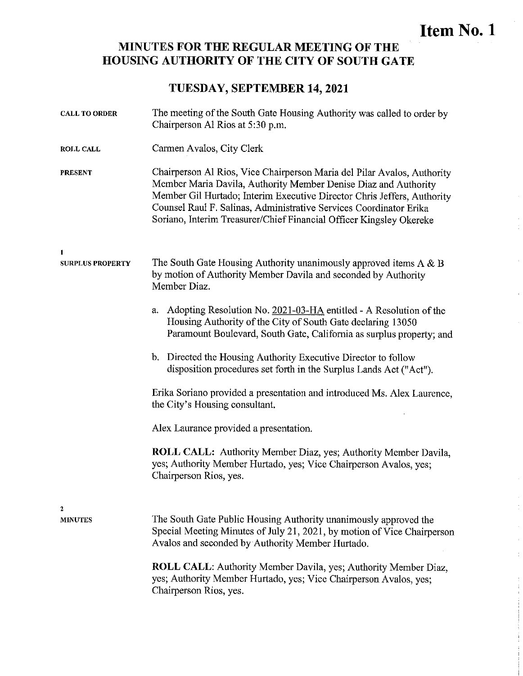# Item No. 1

### MINUTES FOR THE REGULAR MEETING OF THE HOUSING AUTHORITY OF THE CITY OF SOUTH GATE

### TUESDAY, SEPTEMBER 14, 2021

| <b>CALL TO ORDER</b>         | The meeting of the South Gate Housing Authority was called to order by<br>Chairperson Al Rios at 5:30 p.m.                                                                                                                                                                                                                                                         |
|------------------------------|--------------------------------------------------------------------------------------------------------------------------------------------------------------------------------------------------------------------------------------------------------------------------------------------------------------------------------------------------------------------|
| <b>ROLL CALL</b>             | Carmen Avalos, City Clerk                                                                                                                                                                                                                                                                                                                                          |
| <b>PRESENT</b>               | Chairperson Al Rios, Vice Chairperson Maria del Pilar Avalos, Authority<br>Member Maria Davila, Authority Member Denise Diaz and Authority<br>Member Gil Hurtado; Interim Executive Director Chris Jeffers, Authority<br>Counsel Raul F. Salinas, Administrative Services Coordinator Erika<br>Soriano, Interim Treasurer/Chief Financial Officer Kingsley Okereke |
| 1<br><b>SURPLUS PROPERTY</b> | The South Gate Housing Authority unanimously approved items $A \& B$<br>by motion of Authority Member Davila and seconded by Authority<br>Member Diaz.                                                                                                                                                                                                             |
|                              | Adopting Resolution No. 2021-03-HA entitled - A Resolution of the<br>a.<br>Housing Authority of the City of South Gate declaring 13050<br>Paramount Boulevard, South Gate, California as surplus property; and                                                                                                                                                     |
|                              | Directed the Housing Authority Executive Director to follow<br>$\mathbf{b}$<br>disposition procedures set forth in the Surplus Lands Act ("Act").                                                                                                                                                                                                                  |
|                              | Erika Soriano provided a presentation and introduced Ms. Alex Laurence,<br>the City's Housing consultant.                                                                                                                                                                                                                                                          |
|                              | Alex Laurance provided a presentation.                                                                                                                                                                                                                                                                                                                             |
|                              | <b>ROLL CALL:</b> Authority Member Diaz, yes; Authority Member Davila,<br>yes; Authority Member Hurtado, yes; Vice Chairperson Avalos, yes;<br>Chairperson Rios, yes.                                                                                                                                                                                              |
| 2<br><b>MINUTES</b>          | The South Gate Public Housing Authority unanimously approved the<br>Special Meeting Minutes of July 21, 2021, by motion of Vice Chairperson<br>Avalos and seconded by Authority Member Hurtado.                                                                                                                                                                    |
|                              | ROLL CALL: Authority Member Davila, yes; Authority Member Diaz,<br>yes; Authority Member Hurtado, yes; Vice Chairperson Avalos, yes;<br>Chairperson Rios, yes.                                                                                                                                                                                                     |